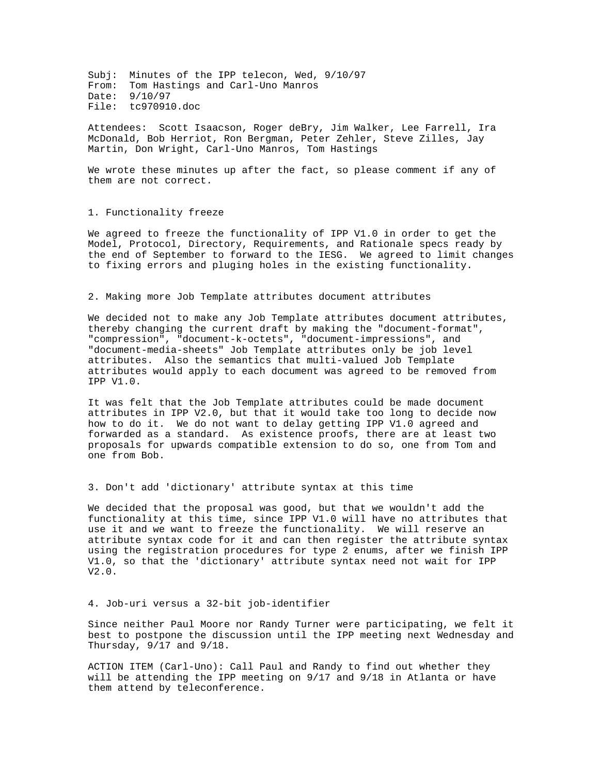Subj: Minutes of the IPP telecon, Wed, 9/10/97 From: Tom Hastings and Carl-Uno Manros Date: 9/10/97 File: tc970910.doc

Attendees: Scott Isaacson, Roger deBry, Jim Walker, Lee Farrell, Ira McDonald, Bob Herriot, Ron Bergman, Peter Zehler, Steve Zilles, Jay Martin, Don Wright, Carl-Uno Manros, Tom Hastings

We wrote these minutes up after the fact, so please comment if any of them are not correct.

## 1. Functionality freeze

We agreed to freeze the functionality of IPP V1.0 in order to get the Model, Protocol, Directory, Requirements, and Rationale specs ready by the end of September to forward to the IESG. We agreed to limit changes to fixing errors and pluging holes in the existing functionality.

## 2. Making more Job Template attributes document attributes

We decided not to make any Job Template attributes document attributes, thereby changing the current draft by making the "document-format", "compression", "document-k-octets", "document-impressions", and "document-media-sheets" Job Template attributes only be job level attributes. Also the semantics that multi-valued Job Template attributes would apply to each document was agreed to be removed from IPP V1.0.

It was felt that the Job Template attributes could be made document attributes in IPP V2.0, but that it would take too long to decide now how to do it. We do not want to delay getting IPP V1.0 agreed and forwarded as a standard. As existence proofs, there are at least two proposals for upwards compatible extension to do so, one from Tom and one from Bob.

3. Don't add 'dictionary' attribute syntax at this time

We decided that the proposal was good, but that we wouldn't add the functionality at this time, since IPP V1.0 will have no attributes that use it and we want to freeze the functionality. We will reserve an attribute syntax code for it and can then register the attribute syntax using the registration procedures for type 2 enums, after we finish IPP V1.0, so that the 'dictionary' attribute syntax need not wait for IPP V2.0.

#### 4. Job-uri versus a 32-bit job-identifier

Since neither Paul Moore nor Randy Turner were participating, we felt it best to postpone the discussion until the IPP meeting next Wednesday and Thursday, 9/17 and 9/18.

ACTION ITEM (Carl-Uno): Call Paul and Randy to find out whether they will be attending the IPP meeting on 9/17 and 9/18 in Atlanta or have them attend by teleconference.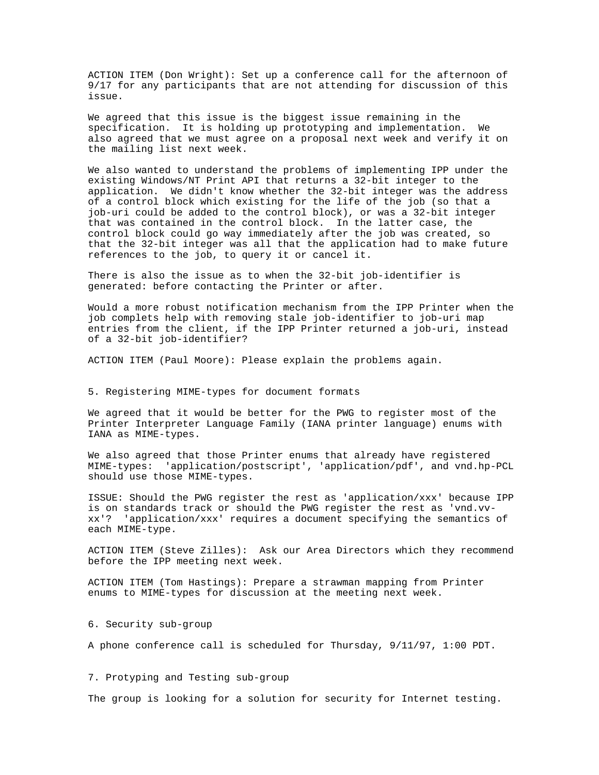ACTION ITEM (Don Wright): Set up a conference call for the afternoon of 9/17 for any participants that are not attending for discussion of this issue.

We agreed that this issue is the biggest issue remaining in the specification. It is holding up prototyping and implementation. We also agreed that we must agree on a proposal next week and verify it on the mailing list next week.

We also wanted to understand the problems of implementing IPP under the existing Windows/NT Print API that returns a 32-bit integer to the application. We didn't know whether the 32-bit integer was the address of a control block which existing for the life of the job (so that a job-uri could be added to the control block), or was a 32-bit integer that was contained in the control block. In the latter case, the control block could go way immediately after the job was created, so that the 32-bit integer was all that the application had to make future references to the job, to query it or cancel it.

There is also the issue as to when the 32-bit job-identifier is generated: before contacting the Printer or after.

Would a more robust notification mechanism from the IPP Printer when the job complets help with removing stale job-identifier to job-uri map entries from the client, if the IPP Printer returned a job-uri, instead of a 32-bit job-identifier?

ACTION ITEM (Paul Moore): Please explain the problems again.

### 5. Registering MIME-types for document formats

We agreed that it would be better for the PWG to register most of the Printer Interpreter Language Family (IANA printer language) enums with IANA as MIME-types.

We also agreed that those Printer enums that already have registered MIME-types: 'application/postscript', 'application/pdf', and vnd.hp-PCL should use those MIME-types.

ISSUE: Should the PWG register the rest as 'application/xxx' because IPP is on standards track or should the PWG register the rest as 'vnd.vvxx'? 'application/xxx' requires a document specifying the semantics of each MIME-type.

ACTION ITEM (Steve Zilles): Ask our Area Directors which they recommend before the IPP meeting next week.

ACTION ITEM (Tom Hastings): Prepare a strawman mapping from Printer enums to MIME-types for discussion at the meeting next week.

6. Security sub-group

A phone conference call is scheduled for Thursday, 9/11/97, 1:00 PDT.

7. Protyping and Testing sub-group

The group is looking for a solution for security for Internet testing.